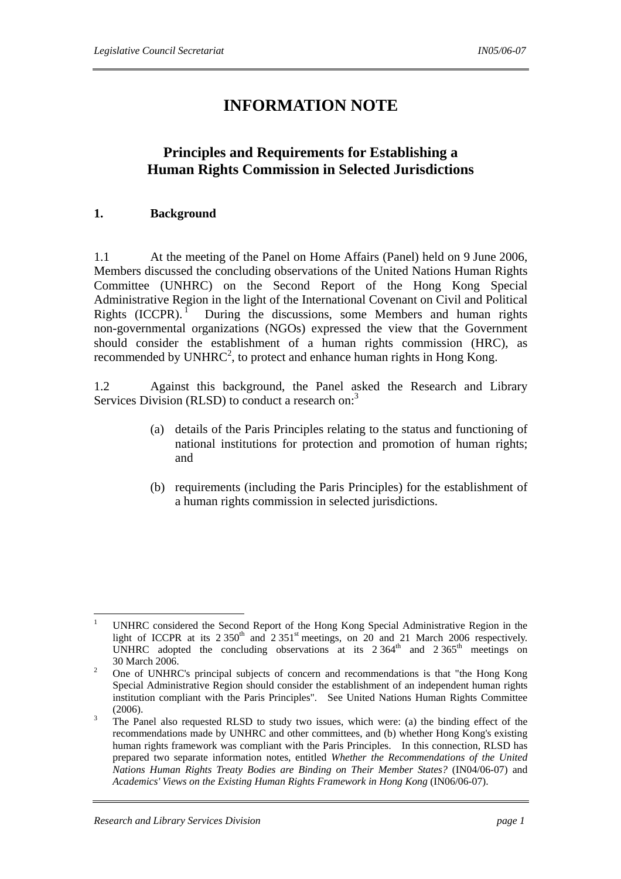# **INFORMATION NOTE**

## **Principles and Requirements for Establishing a Human Rights Commission in Selected Jurisdictions**

## **1. Background**

1.1 At the meeting of the Panel on Home Affairs (Panel) held on 9 June 2006, Members discussed the concluding observations of the United Nations Human Rights Committee (UNHRC) on the Second Report of the Hong Kong Special Administrative Region in the light of the International Covenant on Civil and Political Rights  $(ICCPR).$ <sup>1</sup> During the discussions, some Members and human rights non-governmental organizations (NGOs) expressed the view that the Government should consider the establishment of a human rights commission (HRC), as recommended by UNHRC<sup>2</sup>, to protect and enhance human rights in Hong Kong.

1.2 Against this background, the Panel asked the Research and Library Services Division (RLSD) to conduct a research on:<sup>3</sup>

- (a) details of the Paris Principles relating to the status and functioning of national institutions for protection and promotion of human rights; and
- (b) requirements (including the Paris Principles) for the establishment of a human rights commission in selected jurisdictions.

 $\frac{1}{1}$  UNHRC considered the Second Report of the Hong Kong Special Administrative Region in the light of ICCPR at its  $2\,350<sup>th</sup>$  and  $2\,351<sup>st</sup>$  meetings, on 20 and 21 March 2006 respectively. UNHRC adopted the concluding observations at its  $2.364<sup>th</sup>$  and  $2.365<sup>th</sup>$  meetings on  $30$  March 2006.

One of UNHRC's principal subjects of concern and recommendations is that "the Hong Kong Special Administrative Region should consider the establishment of an independent human rights institution compliant with the Paris Principles"*.* See United Nations Human Rights Committee  $(2006).$ 

The Panel also requested RLSD to study two issues, which were: (a) the binding effect of the recommendations made by UNHRC and other committees, and (b) whether Hong Kong's existing human rights framework was compliant with the Paris Principles. In this connection, RLSD has prepared two separate information notes, entitled *Whether the Recommendations of the United Nations Human Rights Treaty Bodies are Binding on Their Member States?* (IN04/06-07) and *Academics' Views on the Existing Human Rights Framework in Hong Kong* (IN06/06-07).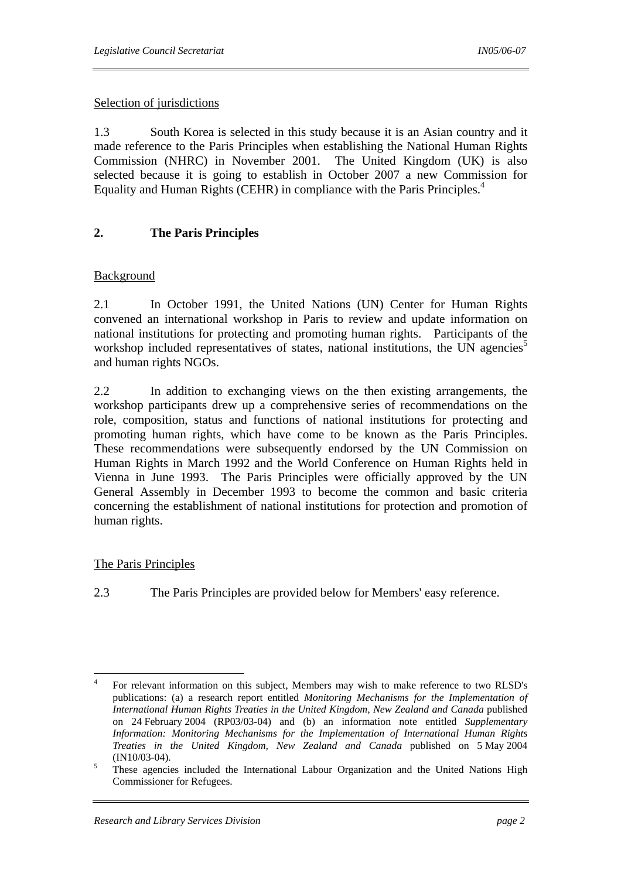## Selection of jurisdictions

1.3 South Korea is selected in this study because it is an Asian country and it made reference to the Paris Principles when establishing the National Human Rights Commission (NHRC) in November 2001. The United Kingdom (UK) is also selected because it is going to establish in October 2007 a new Commission for Equality and Human Rights (CEHR) in compliance with the Paris Principles.<sup>4</sup>

## **2. The Paris Principles**

## Background

2.1 In October 1991, the United Nations (UN) Center for Human Rights convened an international workshop in Paris to review and update information on national institutions for protecting and promoting human rights. Participants of the workshop included representatives of states, national institutions, the UN agencies<sup>5</sup> and human rights NGOs.

2.2 In addition to exchanging views on the then existing arrangements, the workshop participants drew up a comprehensive series of recommendations on the role, composition, status and functions of national institutions for protecting and promoting human rights, which have come to be known as the Paris Principles. These recommendations were subsequently endorsed by the UN Commission on Human Rights in March 1992 and the World Conference on Human Rights held in Vienna in June 1993. The Paris Principles were officially approved by the UN General Assembly in December 1993 to become the common and basic criteria concerning the establishment of national institutions for protection and promotion of human rights.

## The Paris Principles

2.3 The Paris Principles are provided below for Members' easy reference.

 $\frac{1}{4}$  For relevant information on this subject, Members may wish to make reference to two RLSD's publications: (a) a research report entitled *Monitoring Mechanisms for the Implementation of International Human Rights Treaties in the United Kingdom, New Zealand and Canada* published on 24 February 2004 (RP03/03-04) and (b) an information note entitled *Supplementary Information: Monitoring Mechanisms for the Implementation of International Human Rights Treaties in the United Kingdom, New Zealand and Canada* published on 5 May 2004  $\sum_{5}$  (IN10/03-04).

These agencies included the International Labour Organization and the United Nations High Commissioner for Refugees.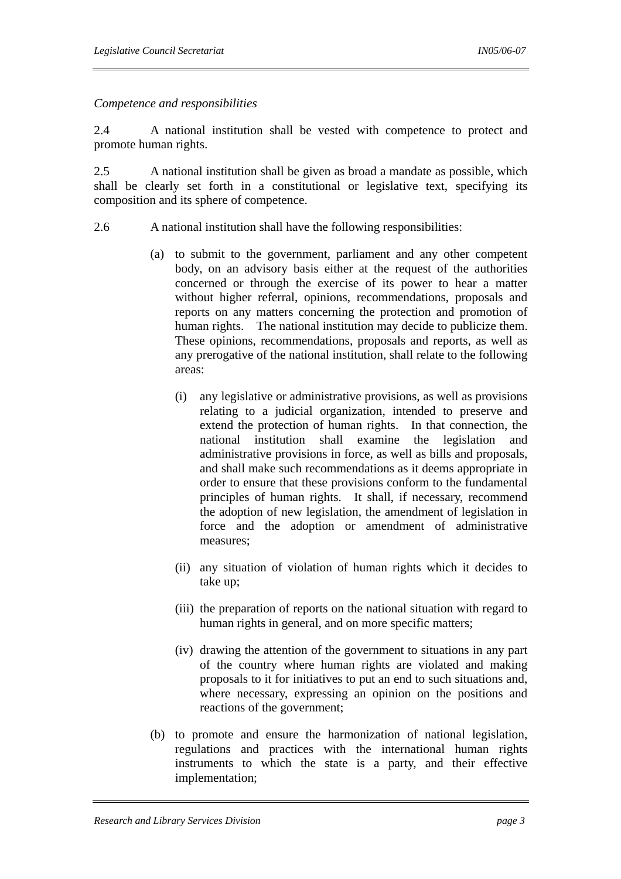## *Competence and responsibilities*

2.4 A national institution shall be vested with competence to protect and promote human rights.

2.5 A national institution shall be given as broad a mandate as possible, which shall be clearly set forth in a constitutional or legislative text, specifying its composition and its sphere of competence.

- 2.6 A national institution shall have the following responsibilities:
	- (a) to submit to the government, parliament and any other competent body, on an advisory basis either at the request of the authorities concerned or through the exercise of its power to hear a matter without higher referral, opinions, recommendations, proposals and reports on any matters concerning the protection and promotion of human rights. The national institution may decide to publicize them. These opinions, recommendations, proposals and reports, as well as any prerogative of the national institution, shall relate to the following areas:
		- (i) any legislative or administrative provisions, as well as provisions relating to a judicial organization, intended to preserve and extend the protection of human rights. In that connection, the national institution shall examine the legislation and administrative provisions in force, as well as bills and proposals, and shall make such recommendations as it deems appropriate in order to ensure that these provisions conform to the fundamental principles of human rights. It shall, if necessary, recommend the adoption of new legislation, the amendment of legislation in force and the adoption or amendment of administrative measures;
		- (ii) any situation of violation of human rights which it decides to take up;
		- (iii) the preparation of reports on the national situation with regard to human rights in general, and on more specific matters:
		- (iv) drawing the attention of the government to situations in any part of the country where human rights are violated and making proposals to it for initiatives to put an end to such situations and, where necessary, expressing an opinion on the positions and reactions of the government;
	- (b) to promote and ensure the harmonization of national legislation, regulations and practices with the international human rights instruments to which the state is a party, and their effective implementation;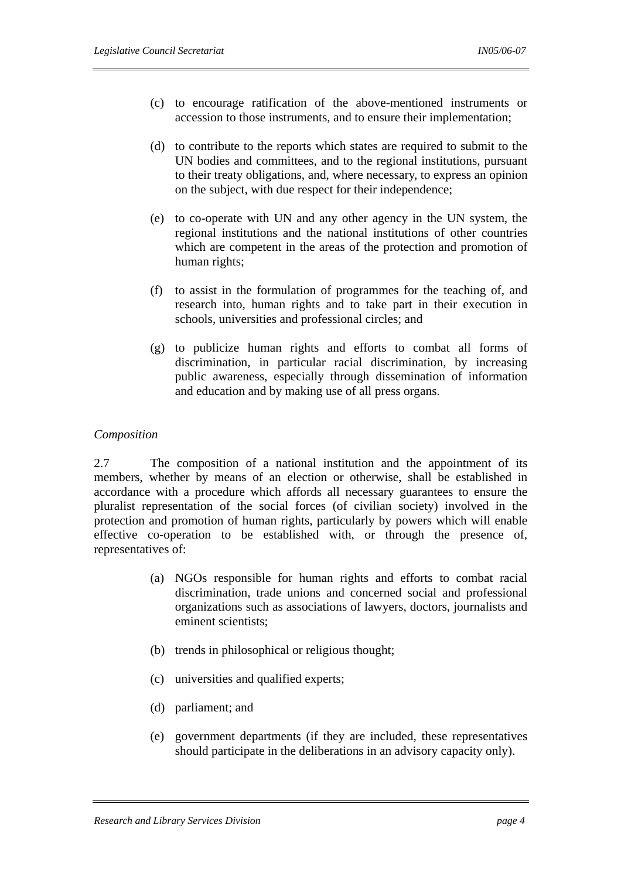- (c) to encourage ratification of the above-mentioned instruments or accession to those instruments, and to ensure their implementation;
- (d) to contribute to the reports which states are required to submit to the UN bodies and committees, and to the regional institutions, pursuant to their treaty obligations, and, where necessary, to express an opinion on the subject, with due respect for their independence;
- (e) to co-operate with UN and any other agency in the UN system, the regional institutions and the national institutions of other countries which are competent in the areas of the protection and promotion of human rights;
- (f) to assist in the formulation of programmes for the teaching of, and research into, human rights and to take part in their execution in schools, universities and professional circles; and
- (g) to publicize human rights and efforts to combat all forms of discrimination, in particular racial discrimination, by increasing public awareness, especially through dissemination of information and education and by making use of all press organs.

## *Composition*

2.7 The composition of a national institution and the appointment of its members, whether by means of an election or otherwise, shall be established in accordance with a procedure which affords all necessary guarantees to ensure the pluralist representation of the social forces (of civilian society) involved in the protection and promotion of human rights, particularly by powers which will enable effective co-operation to be established with, or through the presence of, representatives of:

- (a) NGOs responsible for human rights and efforts to combat racial discrimination, trade unions and concerned social and professional organizations such as associations of lawyers, doctors, journalists and eminent scientists;
- (b) trends in philosophical or religious thought;
- (c) universities and qualified experts;
- (d) parliament; and
- (e) government departments (if they are included, these representatives should participate in the deliberations in an advisory capacity only).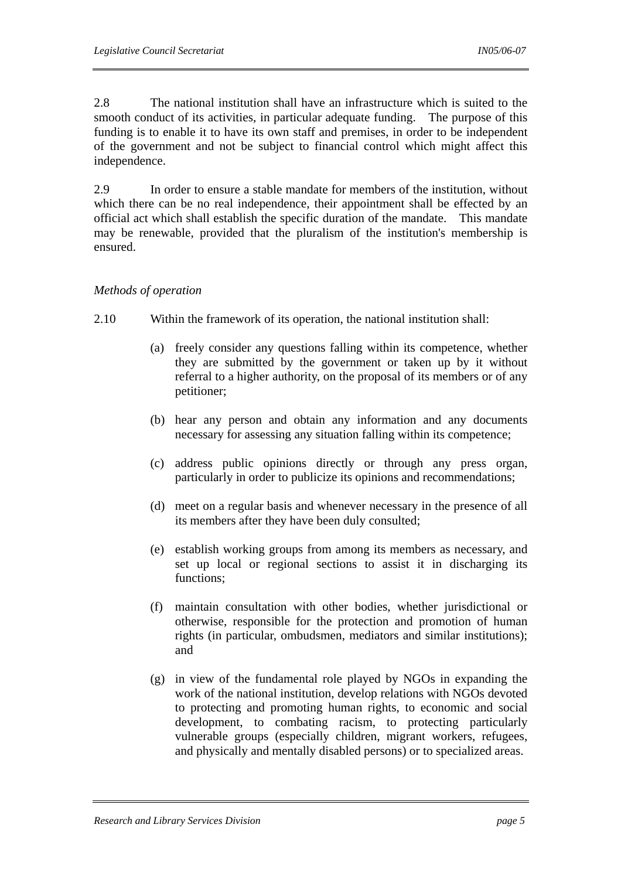2.8 The national institution shall have an infrastructure which is suited to the smooth conduct of its activities, in particular adequate funding. The purpose of this funding is to enable it to have its own staff and premises, in order to be independent of the government and not be subject to financial control which might affect this independence.

2.9 In order to ensure a stable mandate for members of the institution, without which there can be no real independence, their appointment shall be effected by an official act which shall establish the specific duration of the mandate. This mandate may be renewable, provided that the pluralism of the institution's membership is ensured.

## *Methods of operation*

- 2.10 Within the framework of its operation, the national institution shall:
	- (a) freely consider any questions falling within its competence, whether they are submitted by the government or taken up by it without referral to a higher authority, on the proposal of its members or of any petitioner;
	- (b) hear any person and obtain any information and any documents necessary for assessing any situation falling within its competence;
	- (c) address public opinions directly or through any press organ, particularly in order to publicize its opinions and recommendations;
	- (d) meet on a regular basis and whenever necessary in the presence of all its members after they have been duly consulted;
	- (e) establish working groups from among its members as necessary, and set up local or regional sections to assist it in discharging its functions;
	- (f) maintain consultation with other bodies, whether jurisdictional or otherwise, responsible for the protection and promotion of human rights (in particular, ombudsmen, mediators and similar institutions); and
	- (g) in view of the fundamental role played by NGOs in expanding the work of the national institution, develop relations with NGOs devoted to protecting and promoting human rights, to economic and social development, to combating racism, to protecting particularly vulnerable groups (especially children, migrant workers, refugees, and physically and mentally disabled persons) or to specialized areas.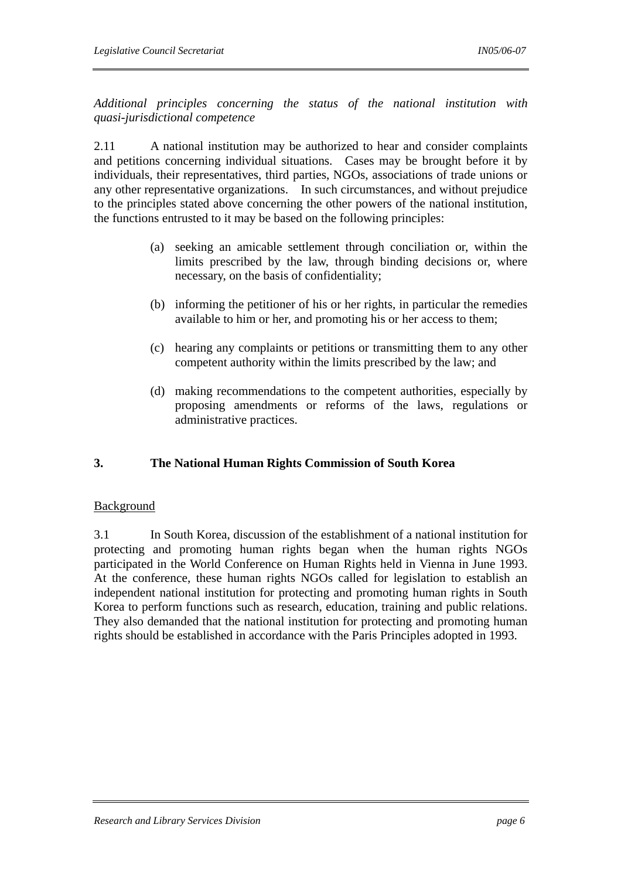*Additional principles concerning the status of the national institution with quasi-jurisdictional competence* 

2.11 A national institution may be authorized to hear and consider complaints and petitions concerning individual situations. Cases may be brought before it by individuals, their representatives, third parties, NGOs, associations of trade unions or any other representative organizations. In such circumstances, and without prejudice to the principles stated above concerning the other powers of the national institution, the functions entrusted to it may be based on the following principles:

- (a) seeking an amicable settlement through conciliation or, within the limits prescribed by the law, through binding decisions or, where necessary, on the basis of confidentiality;
- (b) informing the petitioner of his or her rights, in particular the remedies available to him or her, and promoting his or her access to them;
- (c) hearing any complaints or petitions or transmitting them to any other competent authority within the limits prescribed by the law; and
- (d) making recommendations to the competent authorities, especially by proposing amendments or reforms of the laws, regulations or administrative practices.

## **3. The National Human Rights Commission of South Korea**

#### Background

3.1 In South Korea, discussion of the establishment of a national institution for protecting and promoting human rights began when the human rights NGOs participated in the World Conference on Human Rights held in Vienna in June 1993. At the conference, these human rights NGOs called for legislation to establish an independent national institution for protecting and promoting human rights in South Korea to perform functions such as research, education, training and public relations. They also demanded that the national institution for protecting and promoting human rights should be established in accordance with the Paris Principles adopted in 1993.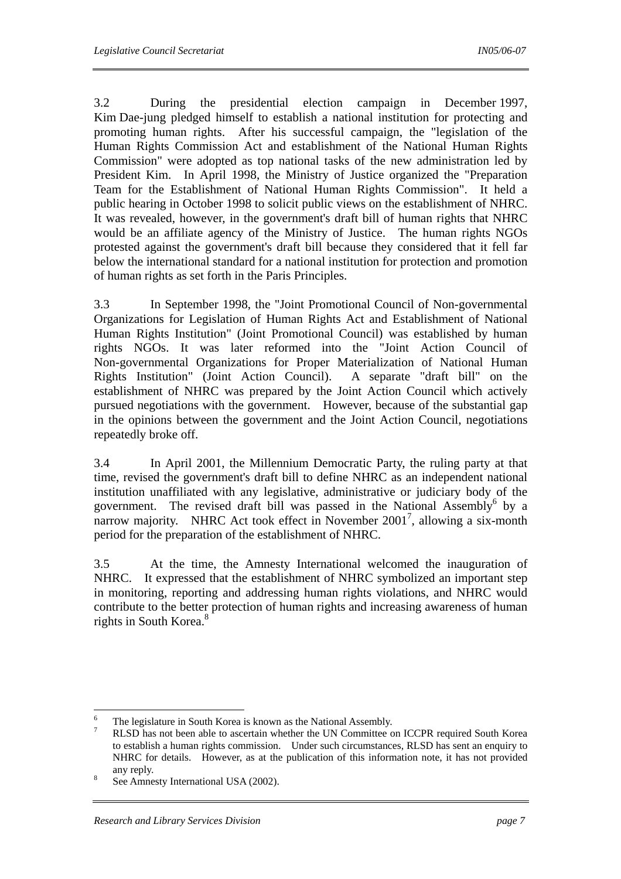3.2 During the presidential election campaign in December 1997, Kim Dae-jung pledged himself to establish a national institution for protecting and promoting human rights. After his successful campaign, the "legislation of the Human Rights Commission Act and establishment of the National Human Rights Commission" were adopted as top national tasks of the new administration led by President Kim. In April 1998, the Ministry of Justice organized the "Preparation Team for the Establishment of National Human Rights Commission". It held a public hearing in October 1998 to solicit public views on the establishment of NHRC. It was revealed, however, in the government's draft bill of human rights that NHRC would be an affiliate agency of the Ministry of Justice. The human rights NGOs protested against the government's draft bill because they considered that it fell far below the international standard for a national institution for protection and promotion of human rights as set forth in the Paris Principles.

3.3 In September 1998, the "Joint Promotional Council of Non-governmental Organizations for Legislation of Human Rights Act and Establishment of National Human Rights Institution" (Joint Promotional Council) was established by human rights NGOs. It was later reformed into the "Joint Action Council of Non-governmental Organizations for Proper Materialization of National Human Rights Institution" (Joint Action Council). A separate "draft bill" on the establishment of NHRC was prepared by the Joint Action Council which actively pursued negotiations with the government. However, because of the substantial gap in the opinions between the government and the Joint Action Council, negotiations repeatedly broke off.

3.4 In April 2001, the Millennium Democratic Party, the ruling party at that time, revised the government's draft bill to define NHRC as an independent national institution unaffiliated with any legislative, administrative or judiciary body of the government. The revised draft bill was passed in the National Assembly<sup>6</sup> by a narrow majority. NHRC Act took effect in November  $2001^7$ , allowing a six-month period for the preparation of the establishment of NHRC.

3.5 At the time, the Amnesty International welcomed the inauguration of NHRC. It expressed that the establishment of NHRC symbolized an important step in monitoring, reporting and addressing human rights violations, and NHRC would contribute to the better protection of human rights and increasing awareness of human rights in South Korea.<sup>8</sup>

 $\frac{1}{6}$ The legislature in South Korea is known as the National Assembly.

<sup>7</sup> RLSD has not been able to ascertain whether the UN Committee on ICCPR required South Korea to establish a human rights commission. Under such circumstances, RLSD has sent an enquiry to NHRC for details. However, as at the publication of this information note, it has not provided any reply.

See Amnesty International USA (2002).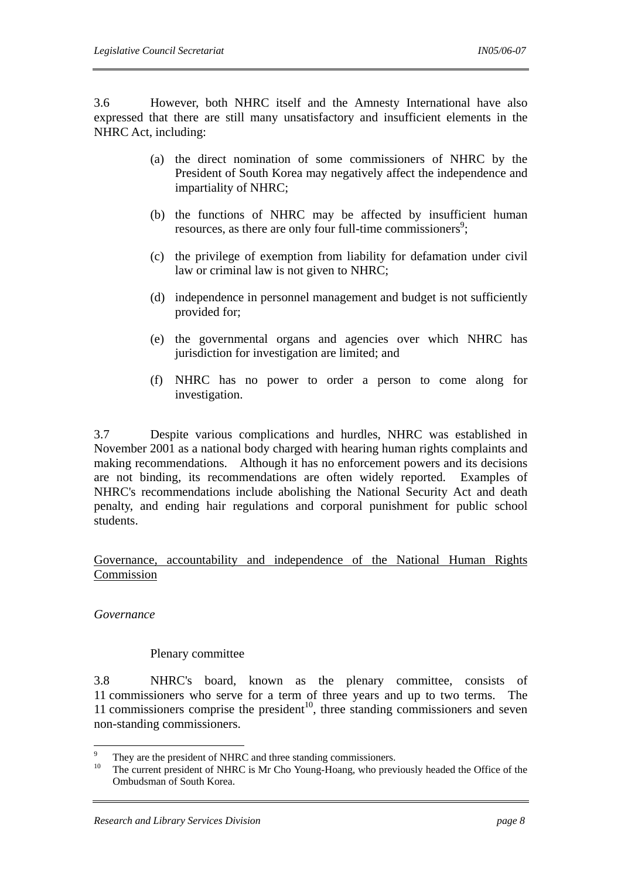3.6 However, both NHRC itself and the Amnesty International have also expressed that there are still many unsatisfactory and insufficient elements in the NHRC Act, including:

- (a) the direct nomination of some commissioners of NHRC by the President of South Korea may negatively affect the independence and impartiality of NHRC;
- (b) the functions of NHRC may be affected by insufficient human resources, as there are only four full-time commissioners<sup>9</sup>;
- (c) the privilege of exemption from liability for defamation under civil law or criminal law is not given to NHRC;
- (d) independence in personnel management and budget is not sufficiently provided for;
- (e) the governmental organs and agencies over which NHRC has jurisdiction for investigation are limited; and
- (f) NHRC has no power to order a person to come along for investigation.

3.7 Despite various complications and hurdles, NHRC was established in November 2001 as a national body charged with hearing human rights complaints and making recommendations. Although it has no enforcement powers and its decisions are not binding, its recommendations are often widely reported. Examples of NHRC's recommendations include abolishing the National Security Act and death penalty, and ending hair regulations and corporal punishment for public school students.

Governance, accountability and independence of the National Human Rights Commission

*Governance* 

#### Plenary committee

3.8 NHRC's board, known as the plenary committee, consists of 11 commissioners who serve for a term of three years and up to two terms. The 11 commissioners comprise the president<sup>10</sup>, three standing commissioners and seven non-standing commissioners.

<sup>-&</sup>lt;br>9

<sup>&</sup>lt;sup>9</sup> They are the president of NHRC and three standing commissioners.<br><sup>10</sup> The current president of NHRC is Mr Cho Young-Hoang, who previously headed the Office of the Ombudsman of South Korea.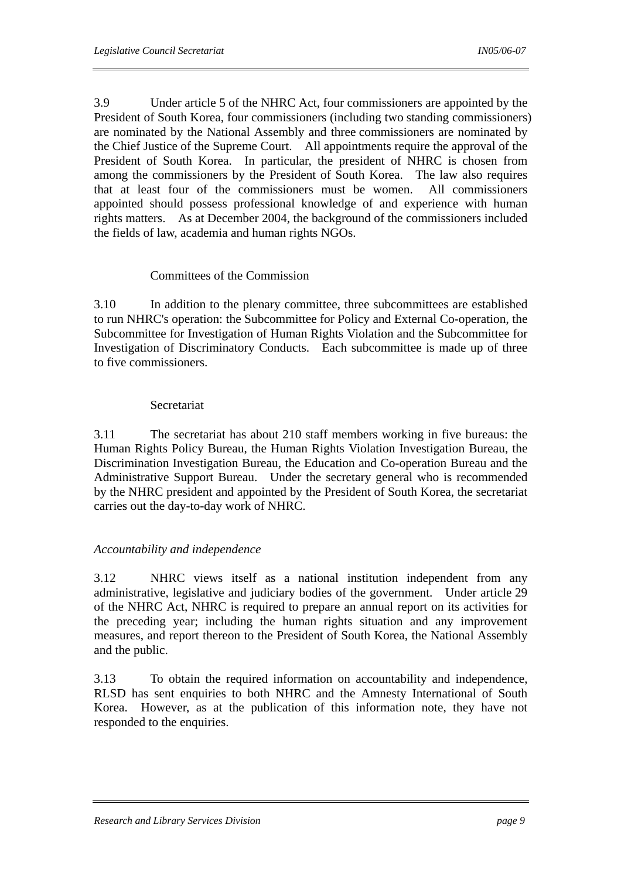3.9 Under article 5 of the NHRC Act, four commissioners are appointed by the President of South Korea, four commissioners (including two standing commissioners) are nominated by the National Assembly and three commissioners are nominated by the Chief Justice of the Supreme Court. All appointments require the approval of the President of South Korea. In particular, the president of NHRC is chosen from among the commissioners by the President of South Korea. The law also requires that at least four of the commissioners must be women. All commissioners appointed should possess professional knowledge of and experience with human rights matters. As at December 2004, the background of the commissioners included the fields of law, academia and human rights NGOs.

## Committees of the Commission

3.10 In addition to the plenary committee, three subcommittees are established to run NHRC's operation: the Subcommittee for Policy and External Co-operation, the Subcommittee for Investigation of Human Rights Violation and the Subcommittee for Investigation of Discriminatory Conducts. Each subcommittee is made up of three to five commissioners.

#### Secretariat

3.11 The secretariat has about 210 staff members working in five bureaus: the Human Rights Policy Bureau, the Human Rights Violation Investigation Bureau, the Discrimination Investigation Bureau, the Education and Co-operation Bureau and the Administrative Support Bureau. Under the secretary general who is recommended by the NHRC president and appointed by the President of South Korea, the secretariat carries out the day-to-day work of NHRC.

#### *Accountability and independence*

3.12 NHRC views itself as a national institution independent from any administrative, legislative and judiciary bodies of the government. Under article 29 of the NHRC Act, NHRC is required to prepare an annual report on its activities for the preceding year; including the human rights situation and any improvement measures, and report thereon to the President of South Korea, the National Assembly and the public.

3.13 To obtain the required information on accountability and independence, RLSD has sent enquiries to both NHRC and the Amnesty International of South Korea. However, as at the publication of this information note, they have not responded to the enquiries.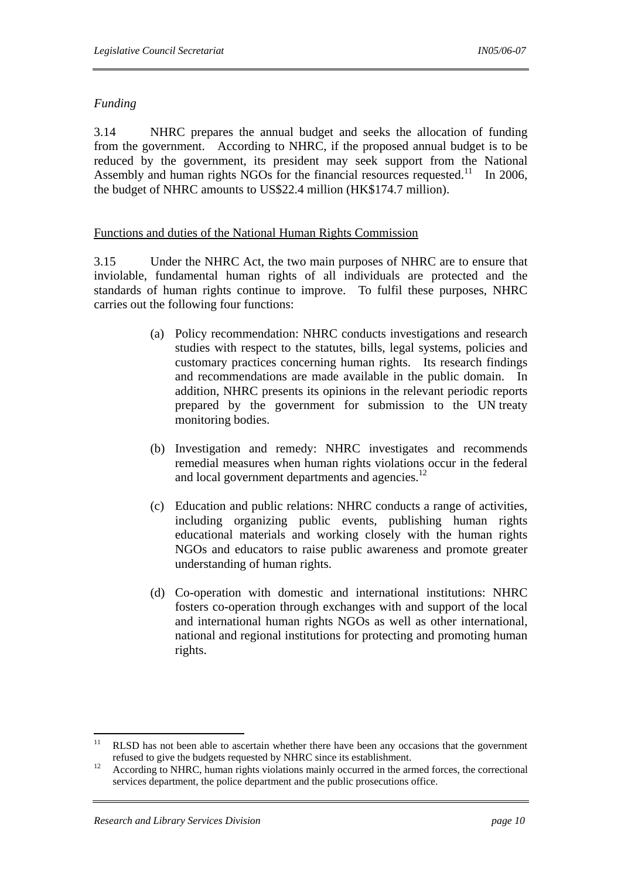## *Funding*

3.14 NHRC prepares the annual budget and seeks the allocation of funding from the government. According to NHRC, if the proposed annual budget is to be reduced by the government, its president may seek support from the National Assembly and human rights NGOs for the financial resources requested.<sup>11</sup> In 2006, the budget of NHRC amounts to US\$22.4 million (HK\$174.7 million).

#### Functions and duties of the National Human Rights Commission

3.15 Under the NHRC Act, the two main purposes of NHRC are to ensure that inviolable, fundamental human rights of all individuals are protected and the standards of human rights continue to improve. To fulfil these purposes, NHRC carries out the following four functions:

- (a) Policy recommendation: NHRC conducts investigations and research studies with respect to the statutes, bills, legal systems, policies and customary practices concerning human rights. Its research findings and recommendations are made available in the public domain. In addition, NHRC presents its opinions in the relevant periodic reports prepared by the government for submission to the UN treaty monitoring bodies.
- (b) Investigation and remedy: NHRC investigates and recommends remedial measures when human rights violations occur in the federal and local government departments and agencies.<sup>12</sup>
- (c) Education and public relations: NHRC conducts a range of activities, including organizing public events, publishing human rights educational materials and working closely with the human rights NGOs and educators to raise public awareness and promote greater understanding of human rights.
- (d) Co-operation with domestic and international institutions: NHRC fosters co-operation through exchanges with and support of the local and international human rights NGOs as well as other international, national and regional institutions for protecting and promoting human rights.

 $11$ RLSD has not been able to ascertain whether there have been any occasions that the government refused to give the budgets requested by NHRC since its establishment.<br>
<sup>12</sup> According to NHRC, human rights violations mainly occurred in the armed forces, the correctional

services department, the police department and the public prosecutions office.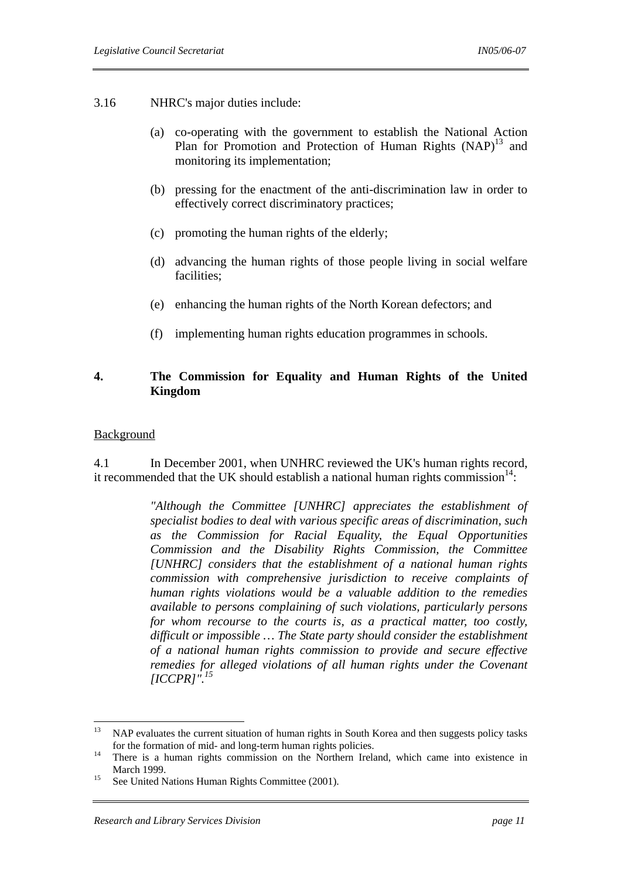- 3.16 NHRC's major duties include:
	- (a) co-operating with the government to establish the National Action Plan for Promotion and Protection of Human Rights (NAP)<sup>13</sup> and monitoring its implementation;
	- (b) pressing for the enactment of the anti-discrimination law in order to effectively correct discriminatory practices;
	- (c) promoting the human rights of the elderly;
	- (d) advancing the human rights of those people living in social welfare facilities;
	- (e) enhancing the human rights of the North Korean defectors; and
	- (f) implementing human rights education programmes in schools.

#### **4. The Commission for Equality and Human Rights of the United Kingdom**

#### Background

4.1 In December 2001, when UNHRC reviewed the UK's human rights record, it recommended that the UK should establish a national human rights commission $14$ :

> *"Although the Committee [UNHRC] appreciates the establishment of specialist bodies to deal with various specific areas of discrimination, such as the Commission for Racial Equality, the Equal Opportunities Commission and the Disability Rights Commission, the Committee [UNHRC] considers that the establishment of a national human rights commission with comprehensive jurisdiction to receive complaints of human rights violations would be a valuable addition to the remedies available to persons complaining of such violations, particularly persons for whom recourse to the courts is, as a practical matter, too costly, difficult or impossible … The State party should consider the establishment of a national human rights commission to provide and secure effective remedies for alleged violations of all human rights under the Covenant [ICCPR]".15*

<sup>13</sup> 13 NAP evaluates the current situation of human rights in South Korea and then suggests policy tasks for the formation of mid- and long-term human rights policies.<br><sup>14</sup> There is a human rights commission on the Northern Ireland, which came into existence in

March 1999.<br><sup>15</sup> See United Nations Human Rights Committee (2001).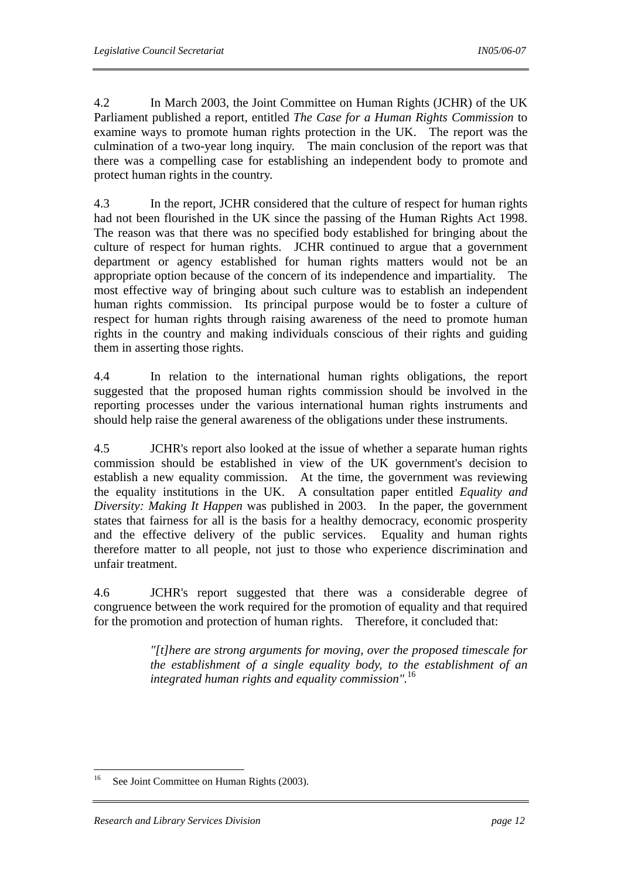4.2 In March 2003, the Joint Committee on Human Rights (JCHR) of the UK Parliament published a report, entitled *The Case for a Human Rights Commission* to examine ways to promote human rights protection in the UK. The report was the culmination of a two-year long inquiry. The main conclusion of the report was that there was a compelling case for establishing an independent body to promote and protect human rights in the country.

4.3 In the report, JCHR considered that the culture of respect for human rights had not been flourished in the UK since the passing of the Human Rights Act 1998. The reason was that there was no specified body established for bringing about the culture of respect for human rights. JCHR continued to argue that a government department or agency established for human rights matters would not be an appropriate option because of the concern of its independence and impartiality. The most effective way of bringing about such culture was to establish an independent human rights commission. Its principal purpose would be to foster a culture of respect for human rights through raising awareness of the need to promote human rights in the country and making individuals conscious of their rights and guiding them in asserting those rights.

4.4 In relation to the international human rights obligations, the report suggested that the proposed human rights commission should be involved in the reporting processes under the various international human rights instruments and should help raise the general awareness of the obligations under these instruments.

4.5 JCHR's report also looked at the issue of whether a separate human rights commission should be established in view of the UK government's decision to establish a new equality commission. At the time, the government was reviewing the equality institutions in the UK. A consultation paper entitled *Equality and Diversity: Making It Happen* was published in 2003. In the paper, the government states that fairness for all is the basis for a healthy democracy, economic prosperity and the effective delivery of the public services. Equality and human rights therefore matter to all people, not just to those who experience discrimination and unfair treatment.

4.6 JCHR's report suggested that there was a considerable degree of congruence between the work required for the promotion of equality and that required for the promotion and protection of human rights. Therefore, it concluded that:

> *"[t]here are strong arguments for moving, over the proposed timescale for the establishment of a single equality body, to the establishment of an integrated human rights and equality commission".*<sup>16</sup>

<sup>16</sup> See Joint Committee on Human Rights (2003).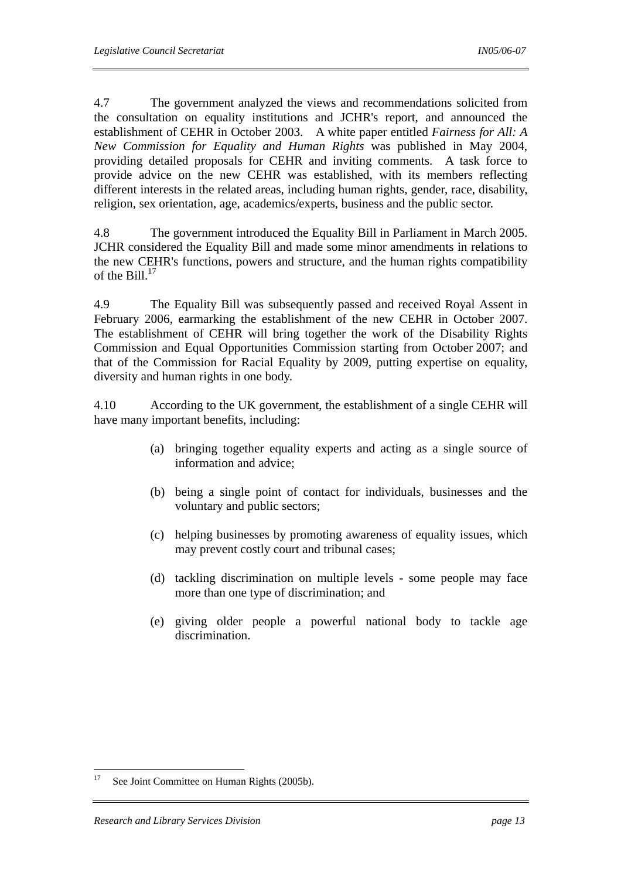4.7 The government analyzed the views and recommendations solicited from the consultation on equality institutions and JCHR's report, and announced the establishment of CEHR in October 2003. A white paper entitled *Fairness for All: A New Commission for Equality and Human Rights* was published in May 2004, providing detailed proposals for CEHR and inviting comments. A task force to provide advice on the new CEHR was established, with its members reflecting different interests in the related areas, including human rights, gender, race, disability, religion, sex orientation, age, academics/experts, business and the public sector.

4.8 The government introduced the Equality Bill in Parliament in March 2005. JCHR considered the Equality Bill and made some minor amendments in relations to the new CEHR's functions, powers and structure, and the human rights compatibility of the Bill.<sup>17</sup>

4.9 The Equality Bill was subsequently passed and received Royal Assent in February 2006, earmarking the establishment of the new CEHR in October 2007. The establishment of CEHR will bring together the work of the Disability Rights Commission and Equal Opportunities Commission starting from October 2007; and that of the Commission for Racial Equality by 2009, putting expertise on equality, diversity and human rights in one body.

4.10 According to the UK government, the establishment of a single CEHR will have many important benefits, including:

- (a) bringing together equality experts and acting as a single source of information and advice;
- (b) being a single point of contact for individuals, businesses and the voluntary and public sectors;
- (c) helping businesses by promoting awareness of equality issues, which may prevent costly court and tribunal cases;
- (d) tackling discrimination on multiple levels some people may face more than one type of discrimination; and
- (e) giving older people a powerful national body to tackle age discrimination<sup>1</sup>

 $17$ See Joint Committee on Human Rights (2005b).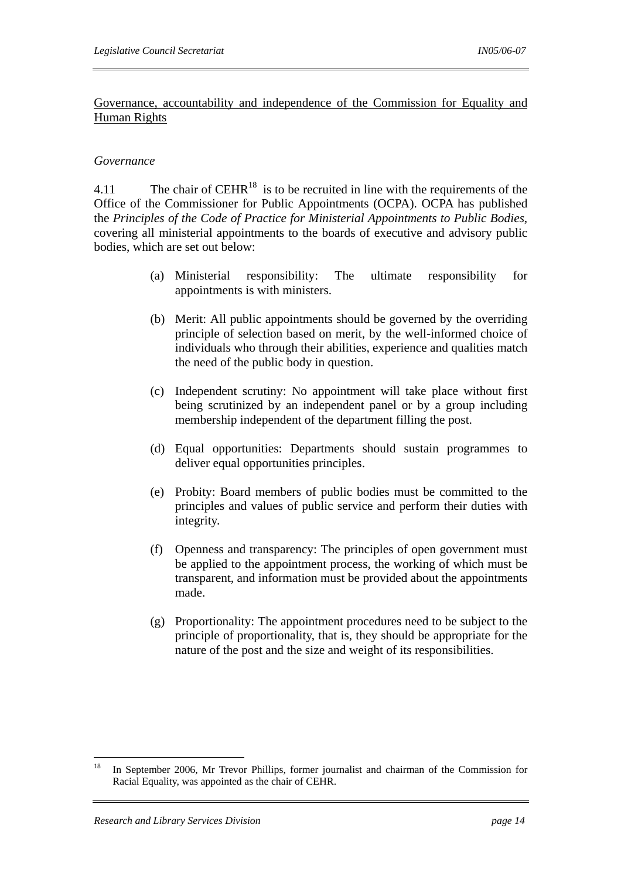Governance, accountability and independence of the Commission for Equality and Human Rights

## *Governance*

4.11 The chair of  $\text{CEHR}^{18}$  is to be recruited in line with the requirements of the Office of the Commissioner for Public Appointments (OCPA). OCPA has published the *Principles of the Code of Practice for Ministerial Appointments to Public Bodies*, covering all ministerial appointments to the boards of executive and advisory public bodies, which are set out below:

- (a) Ministerial responsibility: The ultimate responsibility for appointments is with ministers.
- (b) Merit: All public appointments should be governed by the overriding principle of selection based on merit, by the well-informed choice of individuals who through their abilities, experience and qualities match the need of the public body in question.
- (c) Independent scrutiny: No appointment will take place without first being scrutinized by an independent panel or by a group including membership independent of the department filling the post.
- (d) Equal opportunities: Departments should sustain programmes to deliver equal opportunities principles.
- (e) Probity: Board members of public bodies must be committed to the principles and values of public service and perform their duties with integrity.
- (f) Openness and transparency: The principles of open government must be applied to the appointment process, the working of which must be transparent, and information must be provided about the appointments made.
- (g) Proportionality: The appointment procedures need to be subject to the principle of proportionality, that is, they should be appropriate for the nature of the post and the size and weight of its responsibilities.

<sup>18</sup> 18 In September 2006, Mr Trevor Phillips, former journalist and chairman of the Commission for Racial Equality, was appointed as the chair of CEHR.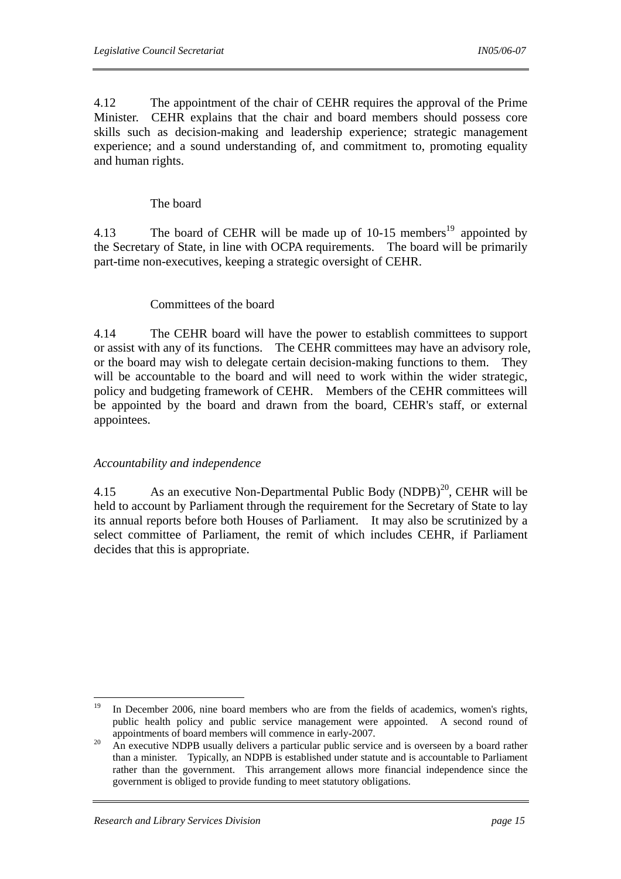4.12 The appointment of the chair of CEHR requires the approval of the Prime Minister. CEHR explains that the chair and board members should possess core skills such as decision-making and leadership experience; strategic management experience; and a sound understanding of, and commitment to, promoting equality and human rights.

## The board

4.13 The board of CEHR will be made up of  $10-15$  members<sup>19</sup> appointed by the Secretary of State, in line with OCPA requirements. The board will be primarily part-time non-executives, keeping a strategic oversight of CEHR.

## Committees of the board

4.14 The CEHR board will have the power to establish committees to support or assist with any of its functions. The CEHR committees may have an advisory role, or the board may wish to delegate certain decision-making functions to them. They will be accountable to the board and will need to work within the wider strategic, policy and budgeting framework of CEHR. Members of the CEHR committees will be appointed by the board and drawn from the board, CEHR's staff, or external appointees.

#### *Accountability and independence*

4.15 As an executive Non-Departmental Public Body (NDPB)<sup>20</sup>, CEHR will be held to account by Parliament through the requirement for the Secretary of State to lay its annual reports before both Houses of Parliament. It may also be scrutinized by a select committee of Parliament, the remit of which includes CEHR, if Parliament decides that this is appropriate.

<sup>19</sup> In December 2006, nine board members who are from the fields of academics, women's rights, public health policy and public service management were appointed. A second round of

appointments of board members will commence in early-2007.<br>An executive NDPB usually delivers a particular public service and is overseen by a board rather than a minister. Typically, an NDPB is established under statute and is accountable to Parliament rather than the government. This arrangement allows more financial independence since the government is obliged to provide funding to meet statutory obligations.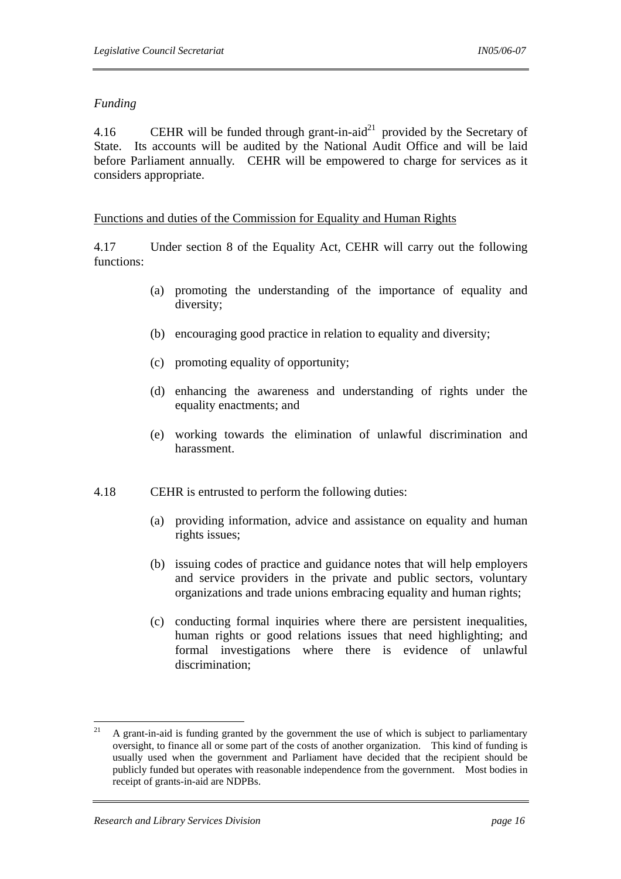## *Funding*

4.16 CEHR will be funded through grant-in-aid<sup>21</sup> provided by the Secretary of State. Its accounts will be audited by the National Audit Office and will be laid before Parliament annually. CEHR will be empowered to charge for services as it considers appropriate.

## Functions and duties of the Commission for Equality and Human Rights

4.17 Under section 8 of the Equality Act, CEHR will carry out the following functions:

- (a) promoting the understanding of the importance of equality and diversity;
- (b) encouraging good practice in relation to equality and diversity;
- (c) promoting equality of opportunity;
- (d) enhancing the awareness and understanding of rights under the equality enactments; and
- (e) working towards the elimination of unlawful discrimination and harassment.
- 4.18 CEHR is entrusted to perform the following duties:
	- (a) providing information, advice and assistance on equality and human rights issues;
	- (b) issuing codes of practice and guidance notes that will help employers and service providers in the private and public sectors, voluntary organizations and trade unions embracing equality and human rights;
	- (c) conducting formal inquiries where there are persistent inequalities, human rights or good relations issues that need highlighting; and formal investigations where there is evidence of unlawful discrimination;

 $21$ 21 A grant-in-aid is funding granted by the government the use of which is subject to parliamentary oversight, to finance all or some part of the costs of another organization. This kind of funding is usually used when the government and Parliament have decided that the recipient should be publicly funded but operates with reasonable independence from the government. Most bodies in receipt of grants-in-aid are NDPBs.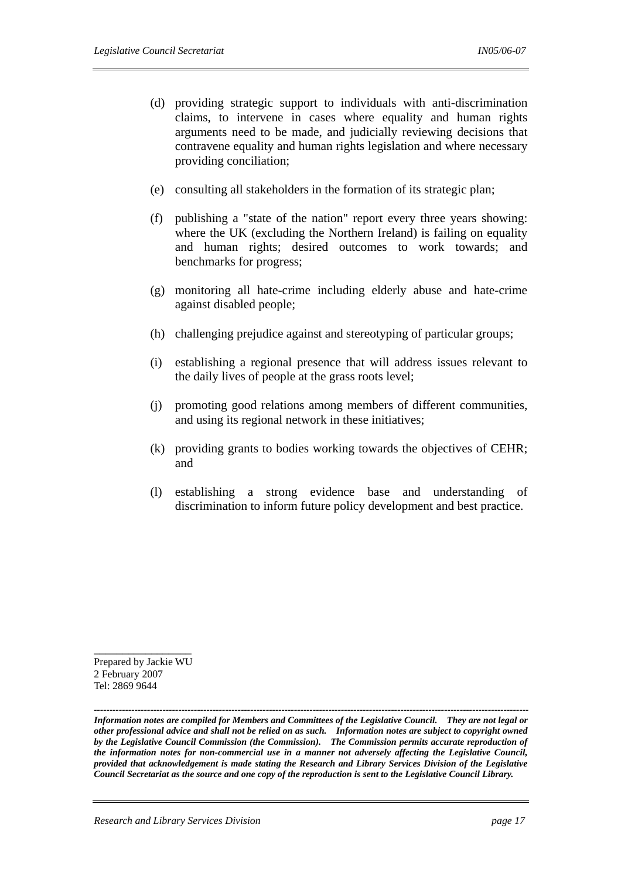- (d) providing strategic support to individuals with anti-discrimination claims, to intervene in cases where equality and human rights arguments need to be made, and judicially reviewing decisions that contravene equality and human rights legislation and where necessary providing conciliation;
- (e) consulting all stakeholders in the formation of its strategic plan;
- (f) publishing a "state of the nation" report every three years showing: where the UK (excluding the Northern Ireland) is failing on equality and human rights; desired outcomes to work towards; and benchmarks for progress;
- (g) monitoring all hate-crime including elderly abuse and hate-crime against disabled people;
- (h) challenging prejudice against and stereotyping of particular groups;
- (i) establishing a regional presence that will address issues relevant to the daily lives of people at the grass roots level;
- (j) promoting good relations among members of different communities, and using its regional network in these initiatives;
- (k) providing grants to bodies working towards the objectives of CEHR; and
- (l) establishing a strong evidence base and understanding of discrimination to inform future policy development and best practice.

Prepared by Jackie WU 2 February 2007 Tel: 2869 9644

\_\_\_\_\_\_\_\_\_\_\_\_\_\_\_\_\_

*------------------------------------------------------------------------------------------------------------------------------------------- Information notes are compiled for Members and Committees of the Legislative Council. They are not legal or other professional advice and shall not be relied on as such. Information notes are subject to copyright owned by the Legislative Council Commission (the Commission). The Commission permits accurate reproduction of the information notes for non-commercial use in a manner not adversely affecting the Legislative Council, provided that acknowledgement is made stating the Research and Library Services Division of the Legislative Council Secretariat as the source and one copy of the reproduction is sent to the Legislative Council Library.*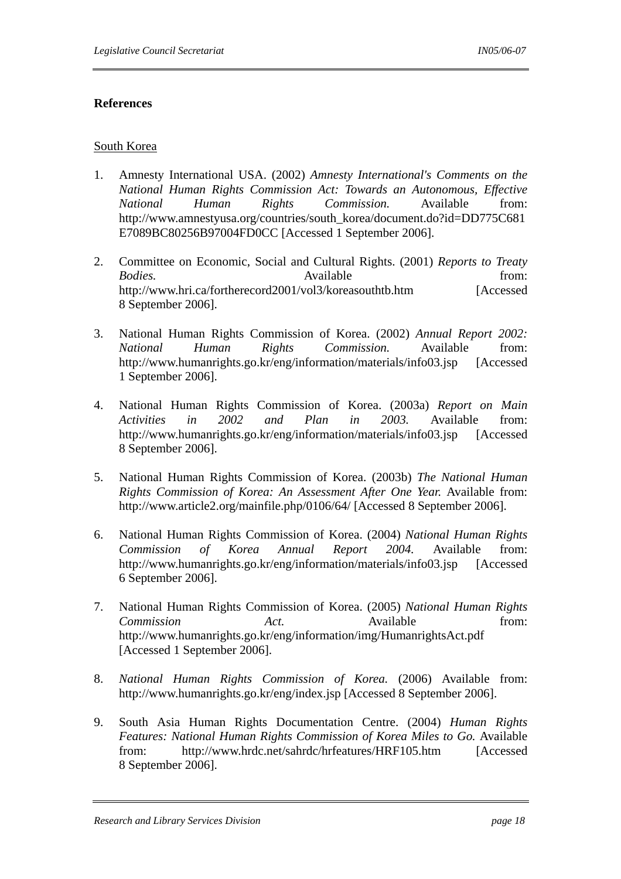#### **References**

#### South Korea

- 1. Amnesty International USA. (2002) *Amnesty International's Comments on the National Human Rights Commission Act: Towards an Autonomous, Effective National Human Rights Commission.* Available from: http://www.amnestyusa.org/countries/south\_korea/document.do?id=DD775C681 E7089BC80256B97004FD0CC [Accessed 1 September 2006].
- 2. Committee on Economic, Social and Cultural Rights. (2001) *Reports to Treaty Bodies.* Available *Available* from: http://www.hri.ca/fortherecord2001/vol3/koreasouthtb.htm [Accessed 8 September 2006].
- 3. National Human Rights Commission of Korea. (2002) *Annual Report 2002: National Human Rights Commission.* Available from: http://www.humanrights.go.kr/eng/information/materials/info03.jsp [Accessed] 1 September 2006].
- 4. National Human Rights Commission of Korea. (2003a) *Report on Main Activities in 2002 and Plan in 2003.* Available from: http://www.humanrights.go.kr/eng/information/materials/info03.jsp [Accessed 8 September 2006].
- 5. National Human Rights Commission of Korea. (2003b) *The National Human Rights Commission of Korea: An Assessment After One Year.* Available from: http://www.article2.org/mainfile.php/0106/64/ [Accessed 8 September 2006].
- 6. National Human Rights Commission of Korea. (2004) *National Human Rights Commission of Korea Annual Report 2004.* Available from: http://www.humanrights.go.kr/eng/information/materials/info03.jsp [Accessed 6 September 2006].
- 7. National Human Rights Commission of Korea. (2005) *National Human Rights Commission Act.* Available from: http://www.humanrights.go.kr/eng/information/img/HumanrightsAct.pdf [Accessed 1 September 2006].
- 8. *National Human Rights Commission of Korea.* (2006) Available from: http://www.humanrights.go.kr/eng/index.jsp [Accessed 8 September 2006].
- 9. South Asia Human Rights Documentation Centre. (2004) *Human Rights Features: National Human Rights Commission of Korea Miles to Go.* Available from: http://www.hrdc.net/sahrdc/hrfeatures/HRF105.htm [Accessed 8 September 2006].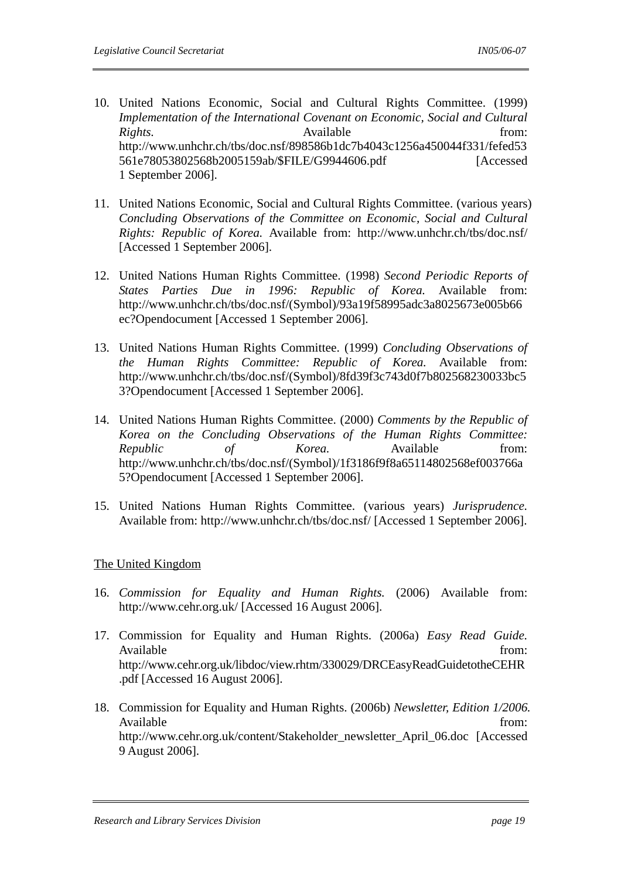- 10. United Nations Economic, Social and Cultural Rights Committee. (1999) *Implementation of the International Covenant on Economic, Social and Cultural Rights.* Available from: http://www.unhchr.ch/tbs/doc.nsf/898586b1dc7b4043c1256a450044f331/fefed53 561e78053802568b2005159ab/\$FILE/G9944606.pdf [Accessed 1 September 2006].
- 11. United Nations Economic, Social and Cultural Rights Committee. (various years) *Concluding Observations of the Committee on Economic, Social and Cultural Rights: Republic of Korea.* Available from: http://www.unhchr.ch/tbs/doc.nsf/ [Accessed 1 September 2006].
- 12. United Nations Human Rights Committee. (1998) *Second Periodic Reports of States Parties Due in 1996: Republic of Korea.* Available from: http://www.unhchr.ch/tbs/doc.nsf/(Symbol)/93a19f58995adc3a8025673e005b66 ec?Opendocument [Accessed 1 September 2006].
- 13. United Nations Human Rights Committee. (1999) *Concluding Observations of the Human Rights Committee: Republic of Korea.* Available from: http://www.unhchr.ch/tbs/doc.nsf/(Symbol)/8fd39f3c743d0f7b802568230033bc5 3?Opendocument [Accessed 1 September 2006].
- 14. United Nations Human Rights Committee. (2000) *Comments by the Republic of Korea on the Concluding Observations of the Human Rights Committee: Republic of Korea*. Available from: http://www.unhchr.ch/tbs/doc.nsf/(Symbol)/1f3186f9f8a65114802568ef003766a 5?Opendocument [Accessed 1 September 2006].
- 15. United Nations Human Rights Committee. (various years) *Jurisprudence.* Available from: http://www.unhchr.ch/tbs/doc.nsf/ [Accessed 1 September 2006].

#### The United Kingdom

- 16. *Commission for Equality and Human Rights.* (2006) Available from: http://www.cehr.org.uk/ [Accessed 16 August 2006].
- 17. Commission for Equality and Human Rights. (2006a) *Easy Read Guide.* Available from:  $\blacksquare$ http://www.cehr.org.uk/libdoc/view.rhtm/330029/DRCEasyReadGuidetotheCEHR .pdf [Accessed 16 August 2006].
- 18. Commission for Equality and Human Rights. (2006b) *Newsletter, Edition 1/2006.*  Available from: http://www.cehr.org.uk/content/Stakeholder\_newsletter\_April\_06.doc [Accessed 9 August 2006].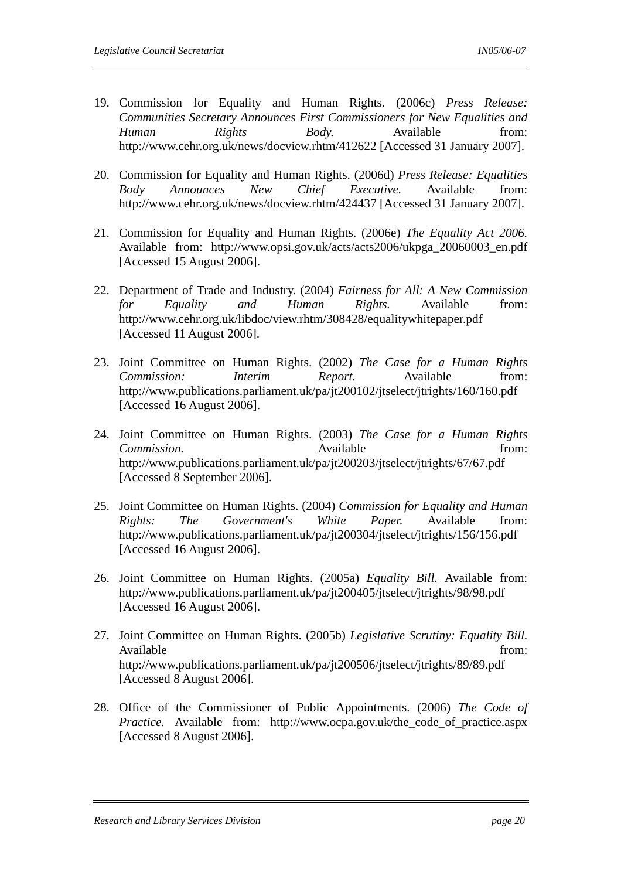- 19. Commission for Equality and Human Rights. (2006c) *Press Release: Communities Secretary Announces First Commissioners for New Equalities and Human Rights Body*. Available from: http://www.cehr.org.uk/news/docview.rhtm/412622 [Accessed 31 January 2007].
- 20. Commission for Equality and Human Rights. (2006d) *Press Release: Equalities Body Announces New Chief Executive.* Available from: http://www.cehr.org.uk/news/docview.rhtm/424437 [Accessed 31 January 2007].
- 21. Commission for Equality and Human Rights. (2006e) *The Equality Act 2006.* Available from: http://www.opsi.gov.uk/acts/acts2006/ukpga\_20060003\_en.pdf [Accessed 15 August 2006].
- 22. Department of Trade and Industry. (2004) *Fairness for All: A New Commission for Equality and Human Rights.* Available from: http://www.cehr.org.uk/libdoc/view.rhtm/308428/equalitywhitepaper.pdf [Accessed 11 August 2006].
- 23. Joint Committee on Human Rights. (2002) *The Case for a Human Rights Commission: Interim Report.* Available from: http://www.publications.parliament.uk/pa/jt200102/jtselect/jtrights/160/160.pdf [Accessed 16 August 2006].
- 24. Joint Committee on Human Rights. (2003) *The Case for a Human Rights Commission.* Available *Available* from: http://www.publications.parliament.uk/pa/jt200203/jtselect/jtrights/67/67.pdf [Accessed 8 September 2006].
- 25. Joint Committee on Human Rights. (2004) *Commission for Equality and Human Rights: The Government's White Paper.* Available from: http://www.publications.parliament.uk/pa/jt200304/jtselect/jtrights/156/156.pdf [Accessed 16 August 2006].
- 26. Joint Committee on Human Rights. (2005a) *Equality Bill.* Available from: http://www.publications.parliament.uk/pa/jt200405/jtselect/jtrights/98/98.pdf [Accessed 16 August 2006].
- 27. Joint Committee on Human Rights. (2005b) *Legislative Scrutiny: Equality Bill.* Available from:  $\blacksquare$ http://www.publications.parliament.uk/pa/jt200506/jtselect/jtrights/89/89.pdf [Accessed 8 August 2006].
- 28. Office of the Commissioner of Public Appointments. (2006) *The Code of Practice.* Available from: http://www.ocpa.gov.uk/the\_code\_of\_practice.aspx [Accessed 8 August 2006].